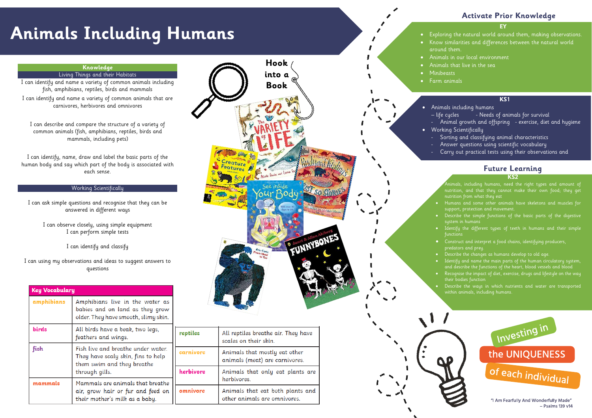# **Animals Including Humans**

### **EY**

- Exploring the natural world around them, making observations.
	-
	-
	-
	-

- 
- 
- 
- 
- 
- 

- 
- 
- 
- 
- 
- 
- 
- 
- 
- 

# **Activate Prior Knowledge**



# **Knowledge**

### Living Things and their Habitats

I can identify and name a variety of common animals including fish, amphibians, reptiles, birds and mammals

I can identify and name a variety of common animals that are carnivores, herbivores and omnivores

I can describe and compare the structure of a variety of common animals (fish, amphibians, reptiles, birds and mammals, including pets)

I can identify, name, draw and label the basic parts of the human body and say which part of the body is associated with each sense.

## Working Scientifically

I can ask simple questions and recognise that they can be answered in different ways

I can observe closely, using simple equipment I can perform simple tests

I can identify and classify

I can using my observations and ideas to suggest answers to questions

| <b>Key Vocabulary</b> |                                                                                                                          |  |
|-----------------------|--------------------------------------------------------------------------------------------------------------------------|--|
| amphibians            | Amphibians live in the water as<br>babies and on land as they grow<br>older. They have smooth, slimy skin.               |  |
| <b>birds</b>          | All birds have a beak, two legs,<br>feathers and wings.                                                                  |  |
| fish                  | Fish live and breathe under water.<br>They have scaly skin, fins to help<br>them swim and they breathe<br>through gills. |  |
| mammals               | Mammals are animals that breathe<br>air, grow hair or fur and feed on<br>their mother's milk as a baby.                  |  |